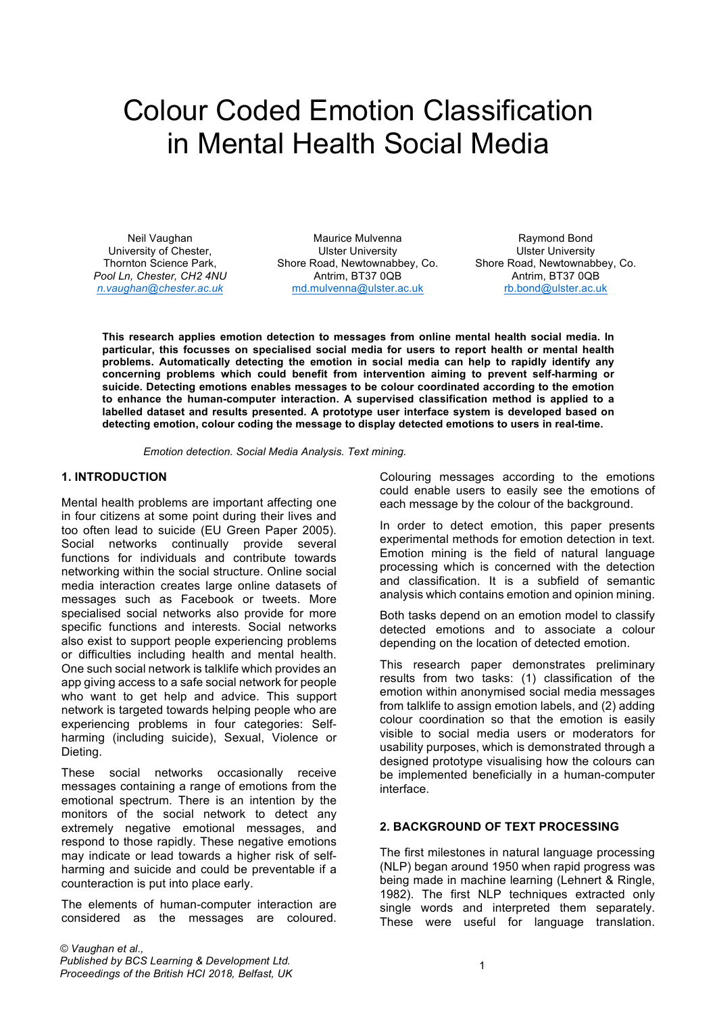# Colour Coded Emotion Classification in Mental Health Social Media

Neil Vaughan University of Chester, Thornton Science Park, *Pool Ln, Chester, CH2 4NU n.vaughan@chester.ac.uk*

Maurice Mulvenna Ulster University Shore Road, Newtownabbey, Co. Antrim, BT37 0QB md.mulvenna@ulster.ac.uk

Raymond Bond Ulster University Shore Road, Newtownabbey, Co. Antrim, BT37 0QB rb.bond@ulster.ac.uk

**This research applies emotion detection to messages from online mental health social media. In particular, this focusses on specialised social media for users to report health or mental health problems. Automatically detecting the emotion in social media can help to rapidly identify any concerning problems which could benefit from intervention aiming to prevent self-harming or suicide. Detecting emotions enables messages to be colour coordinated according to the emotion to enhance the human-computer interaction. A supervised classification method is applied to a labelled dataset and results presented. A prototype user interface system is developed based on detecting emotion, colour coding the message to display detected emotions to users in real-time.**

*Emotion detection. Social Media Analysis. Text mining.*

#### **1. INTRODUCTION**

Mental health problems are important affecting one in four citizens at some point during their lives and too often lead to suicide (EU Green Paper 2005). Social networks continually provide several functions for individuals and contribute towards networking within the social structure. Online social media interaction creates large online datasets of messages such as Facebook or tweets. More specialised social networks also provide for more specific functions and interests. Social networks also exist to support people experiencing problems or difficulties including health and mental health. One such social network is talklife which provides an app giving access to a safe social network for people who want to get help and advice. This support network is targeted towards helping people who are experiencing problems in four categories: Selfharming (including suicide), Sexual, Violence or Dieting.

These social networks occasionally receive messages containing a range of emotions from the emotional spectrum. There is an intention by the monitors of the social network to detect any extremely negative emotional messages, and respond to those rapidly. These negative emotions may indicate or lead towards a higher risk of selfharming and suicide and could be preventable if a counteraction is put into place early.

The elements of human-computer interaction are considered as the messages are coloured. Colouring messages according to the emotions could enable users to easily see the emotions of each message by the colour of the background.

In order to detect emotion, this paper presents experimental methods for emotion detection in text. Emotion mining is the field of natural language processing which is concerned with the detection and classification. It is a subfield of semantic analysis which contains emotion and opinion mining.

Both tasks depend on an emotion model to classify detected emotions and to associate a colour depending on the location of detected emotion.

This research paper demonstrates preliminary results from two tasks: (1) classification of the emotion within anonymised social media messages from talklife to assign emotion labels, and (2) adding colour coordination so that the emotion is easily visible to social media users or moderators for usability purposes, which is demonstrated through a designed prototype visualising how the colours can be implemented beneficially in a human-computer interface.

#### **2. BACKGROUND OF TEXT PROCESSING**

The first milestones in natural language processing (NLP) began around 1950 when rapid progress was being made in machine learning (Lehnert & Ringle, 1982). The first NLP techniques extracted only single words and interpreted them separately. These were useful for language translation.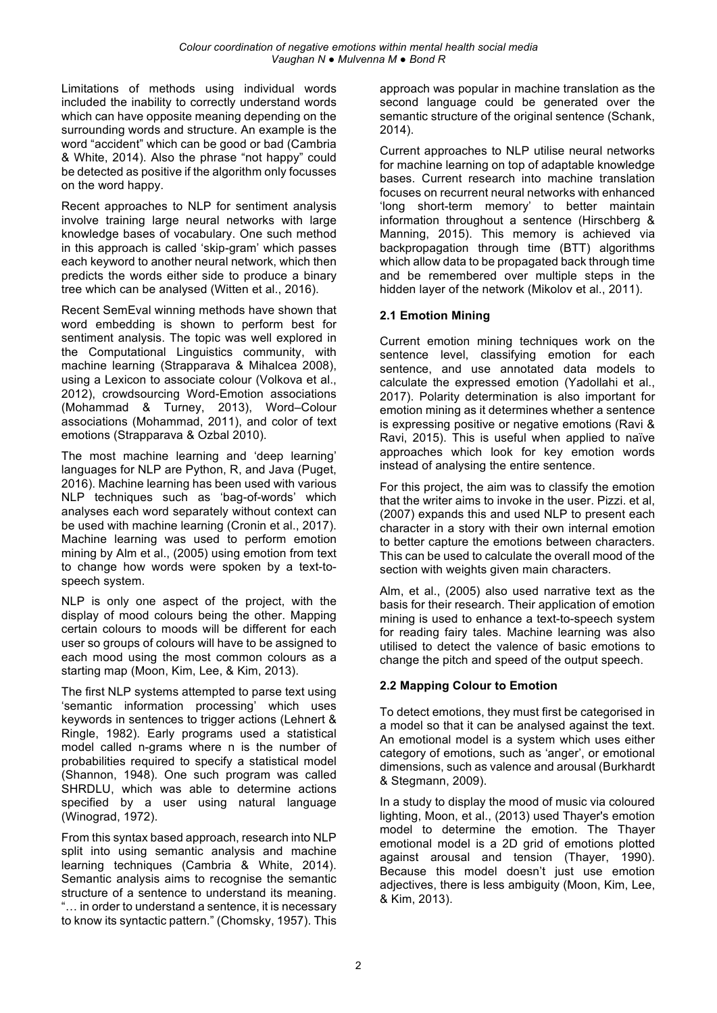Limitations of methods using individual words included the inability to correctly understand words which can have opposite meaning depending on the surrounding words and structure. An example is the word "accident" which can be good or bad (Cambria & White, 2014). Also the phrase "not happy" could be detected as positive if the algorithm only focusses on the word happy.

Recent approaches to NLP for sentiment analysis involve training large neural networks with large knowledge bases of vocabulary. One such method in this approach is called 'skip-gram' which passes each keyword to another neural network, which then predicts the words either side to produce a binary tree which can be analysed (Witten et al., 2016).

Recent SemEval winning methods have shown that word embedding is shown to perform best for sentiment analysis. The topic was well explored in the Computational Linguistics community, with machine learning (Strapparava & Mihalcea 2008), using a Lexicon to associate colour (Volkova et al., 2012), crowdsourcing Word-Emotion associations (Mohammad & Turney, 2013), Word–Colour associations (Mohammad, 2011), and color of text emotions (Strapparava & Ozbal 2010).

The most machine learning and 'deep learning' languages for NLP are Python, R, and Java (Puget, 2016). Machine learning has been used with various NLP techniques such as 'bag-of-words' which analyses each word separately without context can be used with machine learning (Cronin et al., 2017). Machine learning was used to perform emotion mining by Alm et al., (2005) using emotion from text to change how words were spoken by a text-tospeech system.

NLP is only one aspect of the project, with the display of mood colours being the other. Mapping certain colours to moods will be different for each user so groups of colours will have to be assigned to each mood using the most common colours as a starting map (Moon, Kim, Lee, & Kim, 2013).

The first NLP systems attempted to parse text using 'semantic information processing' which uses keywords in sentences to trigger actions (Lehnert & Ringle, 1982). Early programs used a statistical model called n-grams where n is the number of probabilities required to specify a statistical model (Shannon, 1948). One such program was called SHRDLU, which was able to determine actions specified by a user using natural language (Winograd, 1972).

From this syntax based approach, research into NLP split into using semantic analysis and machine learning techniques (Cambria & White, 2014). Semantic analysis aims to recognise the semantic structure of a sentence to understand its meaning. "… in order to understand a sentence, it is necessary to know its syntactic pattern." (Chomsky, 1957). This approach was popular in machine translation as the second language could be generated over the semantic structure of the original sentence (Schank, 2014).

Current approaches to NLP utilise neural networks for machine learning on top of adaptable knowledge bases. Current research into machine translation focuses on recurrent neural networks with enhanced 'long short-term memory' to better maintain information throughout a sentence (Hirschberg & Manning, 2015). This memory is achieved via backpropagation through time (BTT) algorithms which allow data to be propagated back through time and be remembered over multiple steps in the hidden layer of the network (Mikolov et al., 2011).

## **2.1 Emotion Mining**

Current emotion mining techniques work on the sentence level, classifying emotion for each sentence, and use annotated data models to calculate the expressed emotion (Yadollahi et al., 2017). Polarity determination is also important for emotion mining as it determines whether a sentence is expressing positive or negative emotions (Ravi & Ravi, 2015). This is useful when applied to naïve approaches which look for key emotion words instead of analysing the entire sentence.

For this project, the aim was to classify the emotion that the writer aims to invoke in the user. Pizzi. et al, (2007) expands this and used NLP to present each character in a story with their own internal emotion to better capture the emotions between characters. This can be used to calculate the overall mood of the section with weights given main characters.

Alm, et al., (2005) also used narrative text as the basis for their research. Their application of emotion mining is used to enhance a text-to-speech system for reading fairy tales. Machine learning was also utilised to detect the valence of basic emotions to change the pitch and speed of the output speech.

## **2.2 Mapping Colour to Emotion**

To detect emotions, they must first be categorised in a model so that it can be analysed against the text. An emotional model is a system which uses either category of emotions, such as 'anger', or emotional dimensions, such as valence and arousal (Burkhardt & Stegmann, 2009).

In a study to display the mood of music via coloured lighting, Moon, et al., (2013) used Thayer's emotion model to determine the emotion. The Thayer emotional model is a 2D grid of emotions plotted against arousal and tension (Thayer, 1990). Because this model doesn't just use emotion adjectives, there is less ambiguity (Moon, Kim, Lee, & Kim, 2013).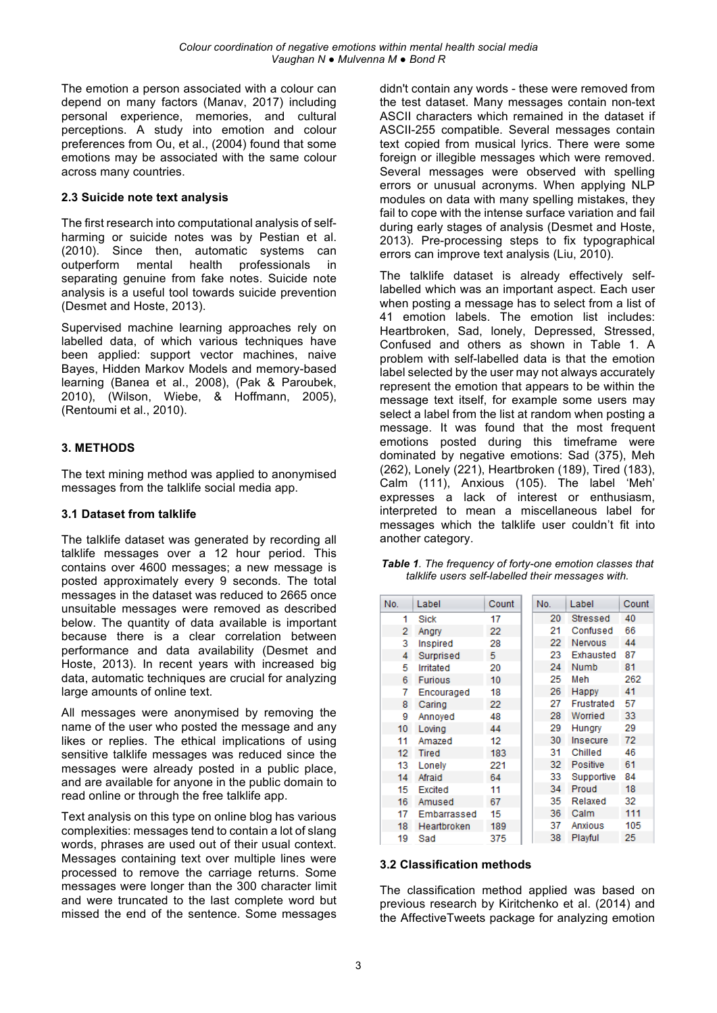The emotion a person associated with a colour can depend on many factors (Manav, 2017) including personal experience, memories, and cultural perceptions. A study into emotion and colour preferences from Ou, et al., (2004) found that some emotions may be associated with the same colour across many countries.

#### **2.3 Suicide note text analysis**

The first research into computational analysis of selfharming or suicide notes was by Pestian et al. (2010). Since then, automatic systems can outperform mental health professionals in separating genuine from fake notes. Suicide note analysis is a useful tool towards suicide prevention (Desmet and Hoste, 2013).

Supervised machine learning approaches rely on labelled data, of which various techniques have been applied: support vector machines, naive Bayes, Hidden Markov Models and memory-based learning (Banea et al., 2008), (Pak & Paroubek, 2010), (Wilson, Wiebe, & Hoffmann, 2005), (Rentoumi et al., 2010).

## **3. METHODS**

The text mining method was applied to anonymised messages from the talklife social media app.

#### **3.1 Dataset from talklife**

The talklife dataset was generated by recording all talklife messages over a 12 hour period. This contains over 4600 messages; a new message is posted approximately every 9 seconds. The total messages in the dataset was reduced to 2665 once unsuitable messages were removed as described below. The quantity of data available is important because there is a clear correlation between performance and data availability (Desmet and Hoste, 2013). In recent years with increased big data, automatic techniques are crucial for analyzing large amounts of online text.

All messages were anonymised by removing the name of the user who posted the message and any likes or replies. The ethical implications of using sensitive talklife messages was reduced since the messages were already posted in a public place, and are available for anyone in the public domain to read online or through the free talklife app.

Text analysis on this type on online blog has various complexities: messages tend to contain a lot of slang words, phrases are used out of their usual context. Messages containing text over multiple lines were processed to remove the carriage returns. Some messages were longer than the 300 character limit and were truncated to the last complete word but missed the end of the sentence. Some messages

didn't contain any words - these were removed from the test dataset. Many messages contain non-text ASCII characters which remained in the dataset if ASCII-255 compatible. Several messages contain text copied from musical lyrics. There were some foreign or illegible messages which were removed. Several messages were observed with spelling errors or unusual acronyms. When applying NLP modules on data with many spelling mistakes, they fail to cope with the intense surface variation and fail during early stages of analysis (Desmet and Hoste, 2013). Pre-processing steps to fix typographical errors can improve text analysis (Liu, 2010).

The talklife dataset is already effectively selflabelled which was an important aspect. Each user when posting a message has to select from a list of 41 emotion labels. The emotion list includes: Heartbroken, Sad, lonely, Depressed, Stressed, Confused and others as shown in Table 1. A problem with self-labelled data is that the emotion label selected by the user may not always accurately represent the emotion that appears to be within the message text itself, for example some users may select a label from the list at random when posting a message. It was found that the most frequent emotions posted during this timeframe were dominated by negative emotions: Sad (375), Meh (262), Lonely (221), Heartbroken (189), Tired (183), Calm (111), Anxious (105). The label 'Meh' expresses a lack of interest or enthusiasm, interpreted to mean a miscellaneous label for messages which the talklife user couldn't fit into another category.

*Table 1. The frequency of forty-one emotion classes that talklife users self-labelled their messages with.*

| No.              | Label          | Count | No. | Label       | Count |
|------------------|----------------|-------|-----|-------------|-------|
| 1                | Sick           | 17    | 20  | Stressed    | 40    |
| 2                | Angry          | 22    | 21  | Confused    | 66    |
| 3                | Inspired       | 28    | 22  | Nervous     | 44    |
| 4                | Surprised      | 5     | 23  | Exhausted   | 87    |
| 5                | Irritated      | 20    | 24  | <b>Numb</b> | 81    |
| 6                | <b>Furious</b> | 10    | 25  | Meh         | 262   |
| 7                | Encouraged     | 18    | 26  | Happy       | 41    |
| 8                | Caring         | 22    | 27  | Frustrated  | 57    |
| 9                | Annoved        | 48    | 28  | Worried     | 33    |
| 10               | Loving         | 44    | 29  | Hungry      | 29    |
| 11               | Amazed         | 12    | 30  | Insecure    | 72    |
| 12 <sup>12</sup> | Tired          | 183   | 31  | Chilled     | 46    |
| 13               | Lonely         | 221   | 32  | Positive    | 61    |
| 14               | Afraid         | 64    | 33  | Supportive  | 84    |
| 15               | Excited        | 11    | 34  | Proud       | 18    |
| 16               | Amused         | 67    | 35  | Relaxed     | 32    |
| 17               | Embarrassed    | 15    | 36  | Calm        | 111   |
| 18               | Heartbroken    | 189   | 37  | Anxious     | 105   |
| 19               | Sad            | 375   | 38  | Playful     | 25    |

#### **3.2 Classification methods**

The classification method applied was based on previous research by Kiritchenko et al. (2014) and the AffectiveTweets package for analyzing emotion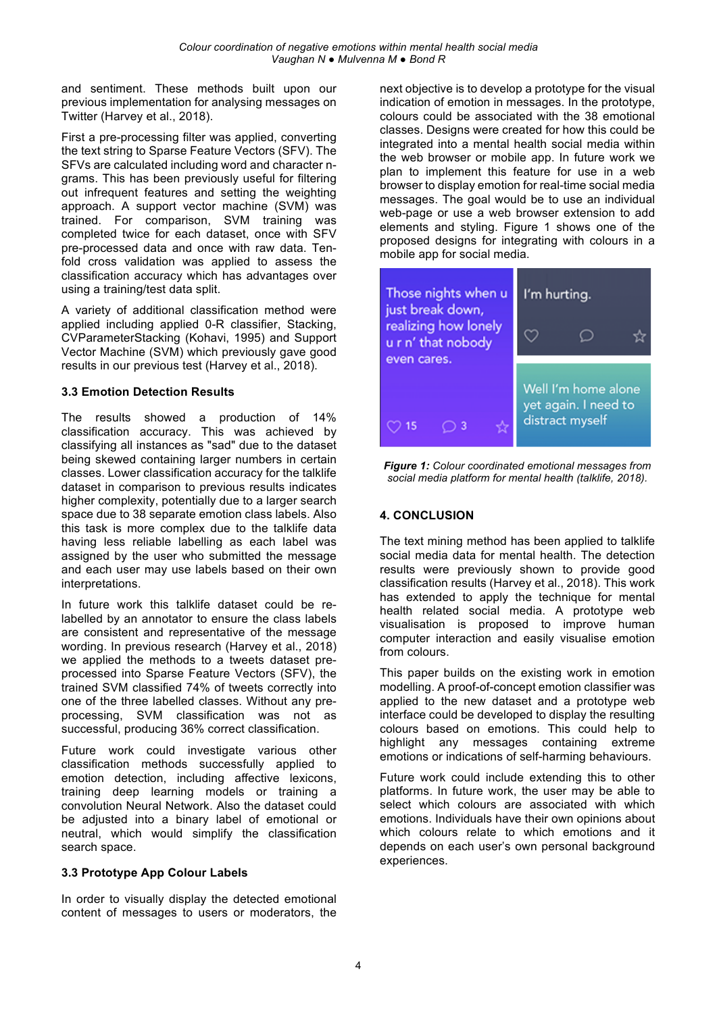and sentiment. These methods built upon our previous implementation for analysing messages on Twitter (Harvey et al., 2018).

First a pre-processing filter was applied, converting the text string to Sparse Feature Vectors (SFV). The SFVs are calculated including word and character ngrams. This has been previously useful for filtering out infrequent features and setting the weighting approach. A support vector machine (SVM) was trained. For comparison, SVM training was completed twice for each dataset, once with SFV pre-processed data and once with raw data. Tenfold cross validation was applied to assess the classification accuracy which has advantages over using a training/test data split.

A variety of additional classification method were applied including applied 0-R classifier, Stacking, CVParameterStacking (Kohavi, 1995) and Support Vector Machine (SVM) which previously gave good results in our previous test (Harvey et al., 2018).

#### **3.3 Emotion Detection Results**

The results showed a production of 14% classification accuracy. This was achieved by classifying all instances as "sad" due to the dataset being skewed containing larger numbers in certain classes. Lower classification accuracy for the talklife dataset in comparison to previous results indicates higher complexity, potentially due to a larger search space due to 38 separate emotion class labels. Also this task is more complex due to the talklife data having less reliable labelling as each label was assigned by the user who submitted the message and each user may use labels based on their own interpretations.

In future work this talklife dataset could be relabelled by an annotator to ensure the class labels are consistent and representative of the message wording. In previous research (Harvey et al., 2018) we applied the methods to a tweets dataset preprocessed into Sparse Feature Vectors (SFV), the trained SVM classified 74% of tweets correctly into one of the three labelled classes. Without any preprocessing, SVM classification was not as successful, producing 36% correct classification.

Future work could investigate various other classification methods successfully applied to emotion detection, including affective lexicons, training deep learning models or training a convolution Neural Network. Also the dataset could be adjusted into a binary label of emotional or neutral, which would simplify the classification search space.

## **3.3 Prototype App Colour Labels**

In order to visually display the detected emotional content of messages to users or moderators, the next objective is to develop a prototype for the visual indication of emotion in messages. In the prototype, colours could be associated with the 38 emotional classes. Designs were created for how this could be integrated into a mental health social media within the web browser or mobile app. In future work we plan to implement this feature for use in a web browser to display emotion for real-time social media messages. The goal would be to use an individual web-page or use a web browser extension to add elements and styling. Figure 1 shows one of the proposed designs for integrating with colours in a mobile app for social media.



*Figure 1: Colour coordinated emotional messages from social media platform for mental health (talklife, 2018).*

## **4. CONCLUSION**

The text mining method has been applied to talklife social media data for mental health. The detection results were previously shown to provide good classification results (Harvey et al., 2018). This work has extended to apply the technique for mental health related social media. A prototype web visualisation is proposed to improve human computer interaction and easily visualise emotion from colours.

This paper builds on the existing work in emotion modelling. A proof-of-concept emotion classifier was applied to the new dataset and a prototype web interface could be developed to display the resulting colours based on emotions. This could help to highlight any messages containing extreme emotions or indications of self-harming behaviours.

Future work could include extending this to other platforms. In future work, the user may be able to select which colours are associated with which emotions. Individuals have their own opinions about which colours relate to which emotions and it depends on each user's own personal background experiences.